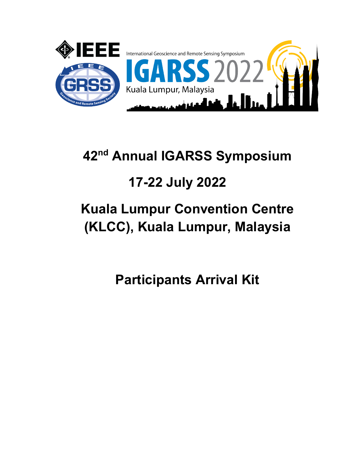

# 42<sup>nd</sup> Annual IGARSS Symposium

# 17-22 July 2022

# Kuala Lumpur Convention Centre (KLCC), Kuala Lumpur, Malaysia

Participants Arrival Kit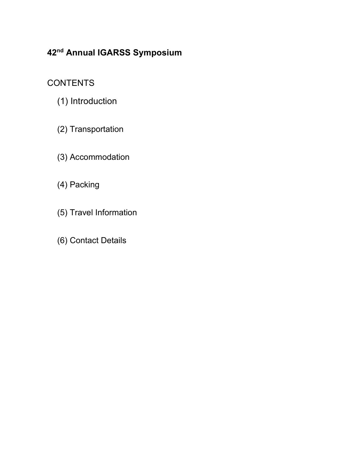### 42<sup>nd</sup> Annual IGARSS Symposium

### **CONTENTS**

- (1) Introduction
- (2) Transportation
- (3) Accommodation
- (4) Packing
- (5) Travel Information
- (6) Contact Details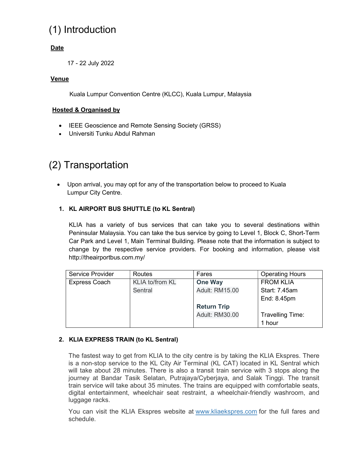## (1) Introduction

#### Date

17 - 22 July 2022

#### Venue

Kuala Lumpur Convention Centre (KLCC), Kuala Lumpur, Malaysia

#### Hosted & Organised by

- IEEE Geoscience and Remote Sensing Society (GRSS)
- Universiti Tunku Abdul Rahman

### (2) Transportation

 Upon arrival, you may opt for any of the transportation below to proceed to Kuala Lumpur City Centre.

#### 1. KL AIRPORT BUS SHUTTLE (to KL Sentral)

KLIA has a variety of bus services that can take you to several destinations within Peninsular Malaysia. You can take the bus service by going to Level 1, Block C, Short-Term Car Park and Level 1, Main Terminal Building. Please note that the information is subject to change by the respective service providers. For booking and information, please visit http://theairportbus.com.my/

| Service Provider | Routes                 | Fares                 | <b>Operating Hours</b> |
|------------------|------------------------|-----------------------|------------------------|
| Express Coach    | <b>KLIA to/from KL</b> | <b>One Way</b>        | <b>FROM KLIA</b>       |
|                  | Sentral                | <b>Adult: RM15.00</b> | Start: 7.45am          |
|                  |                        |                       | End: 8.45pm            |
|                  |                        | <b>Return Trip</b>    |                        |
|                  |                        | <b>Adult: RM30.00</b> | Travelling Time:       |
|                  |                        |                       | 1 hour                 |

#### 2. KLIA EXPRESS TRAIN (to KL Sentral)

The fastest way to get from KLIA to the city centre is by taking the KLIA Ekspres. There is a non-stop service to the KL City Air Terminal (KL CAT) located in KL Sentral which will take about 28 minutes. There is also a transit train service with 3 stops along the journey at Bandar Tasik Selatan, Putrajaya/Cyberjaya, and Salak Tinggi. The transit train service will take about 35 minutes. The trains are equipped with comfortable seats, digital entertainment, wheelchair seat restraint, a wheelchair-friendly washroom, and luggage racks.

You can visit the KLIA Ekspres website at www.kliaekspres.com for the full fares and schedule.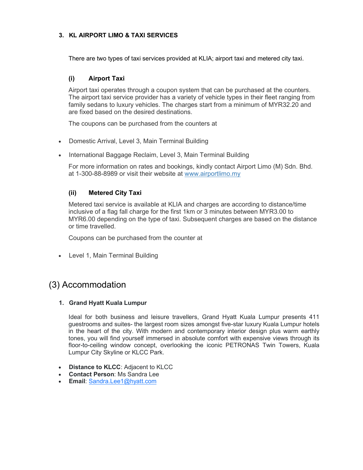#### 3. KL AIRPORT LIMO & TAXI SERVICES

There are two types of taxi services provided at KLIA; airport taxi and metered city taxi.

#### (i) Airport Taxi

Airport taxi operates through a coupon system that can be purchased at the counters. The airport taxi service provider has a variety of vehicle types in their fleet ranging from family sedans to luxury vehicles. The charges start from a minimum of MYR32.20 and are fixed based on the desired destinations.

The coupons can be purchased from the counters at

- Domestic Arrival, Level 3, Main Terminal Building
- International Baggage Reclaim, Level 3, Main Terminal Building

For more information on rates and bookings, kindly contact Airport Limo (M) Sdn. Bhd. at 1-300-88-8989 or visit their website at www.airportlimo.my

#### (ii) Metered City Taxi

Metered taxi service is available at KLIA and charges are according to distance/time inclusive of a flag fall charge for the first 1km or 3 minutes between MYR3.00 to MYR6.00 depending on the type of taxi. Subsequent charges are based on the distance or time travelled.

Coupons can be purchased from the counter at

• Level 1, Main Terminal Building

### (3) Accommodation

#### 1. Grand Hyatt Kuala Lumpur

Ideal for both business and leisure travellers, Grand Hyatt Kuala Lumpur presents 411 guestrooms and suites- the largest room sizes amongst five-star luxury Kuala Lumpur hotels in the heart of the city. With modern and contemporary interior design plus warm earthly tones, you will find yourself immersed in absolute comfort with expensive views through its floor-to-ceiling window concept, overlooking the iconic PETRONAS Twin Towers, Kuala Lumpur City Skyline or KLCC Park.

- Distance to KLCC: Adjacent to KLCC
- Contact Person: Ms Sandra Lee
- Email: Sandra.Lee1@hyatt.com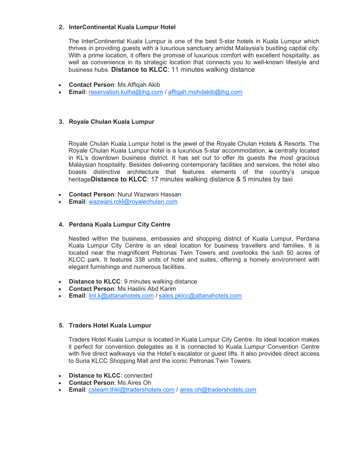#### 2. InterContinental Kuala Lumpur Hotel

The InterContinental Kuala Lumpur is one of the best 5-star hotels in Kuala Lumpur which thrives in providing guests with a luxurious sanctuary amidst Malaysia's bustling capital city. With a prime location, it offers the promise of luxurious comfort with excellent hospitality, as well as convenience in its strategic location that connects you to well-known lifestyle and business hubs. Distance to KLCC: 11 minutes walking distance

- Contact Person: Ms Affiqah Akib
- Email: reservation.kulha@ihg.com / affiqah.mohdakib@ihg.com

#### 3. Royale Chulan Kuala Lumpur

Royale Chulan Kuala Lumpur hotel is the jewel of the Royale Chulan Hotels & Resorts. The Royale Chulan Kuala Lumpur hotel is a luxurious 5-star accommodation, is centrally located in KL's downtown business district. It has set out to offer its guests the most gracious Malaysian hospitality. Besides delivering contemporary facilities and services, the hotel also boasts distinctive architecture that features elements of the country's unique heritageDistance to KLCC: 17 minutes walking distance & 5 minutes by taxi

- Contact Person: Nurul Wazwani Hassan
- Email: wazwani.rckl@royalechulan.com

#### 4. Perdana Kuala Lumpur City Centre

Nestled within the business, embassies and shopping district of Kuala Lumpur, Perdana Kuala Lumpur City Centre is an ideal location for business travellers and families. It is located near the magnificent Petronas Twin Towers and overlooks the lush 50 acres of KLCC park. It features 338 units of hotel and suites, offering a homely environment with elegant furnishings and numerous facilities.

- Distance to KLCC: 9 minutes walking distance
- Contact Person: Ms Haslini Abd Karim
- **Email:** lini.k@attanahotels.com / sales.pklcc@attanahotels.com

#### 5. Traders Hotel Kuala Lumpur

Traders Hotel Kuala Lumpur is located in Kuala Lumpur City Centre. Its ideal location makes it perfect for convention delegates as it is connected to Kuala Lumpur Convention Centre with five direct walkways via the Hotel's escalator or guest lifts. It also provides direct access to Suria KLCC Shopping Mall and the iconic Petronas Twin Towers.

- Distance to **KLCC**: connected
- Contact Person: Ms Aires Oh
- Email: csteam.thkl@tradershotels.com / aires.oh@tradershotels.com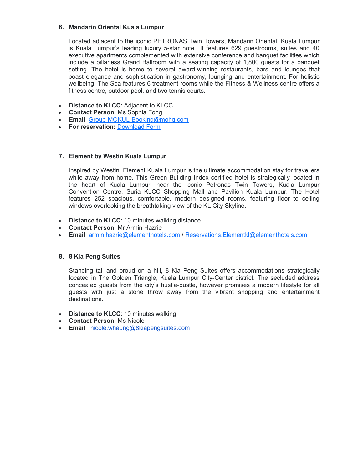#### 6. Mandarin Oriental Kuala Lumpur

Located adjacent to the iconic PETRONAS Twin Towers, Mandarin Oriental, Kuala Lumpur is Kuala Lumpur's leading luxury 5-star hotel. It features 629 guestrooms, suites and 40 executive apartments complemented with extensive conference and banquet facilities which include a pillarless Grand Ballroom with a seating capacity of 1,800 guests for a banquet setting. The hotel is home to several award-winning restaurants, bars and lounges that boast elegance and sophistication in gastronomy, lounging and entertainment. For holistic wellbeing, The Spa features 6 treatment rooms while the Fitness & Wellness centre offers a fitness centre, outdoor pool, and two tennis courts.

- Distance to KLCC: Adjacent to KLCC
- Contact Person: Ms Sophia Fong
- Email: Group-MOKUL-Booking@mohg.com
- For reservation: Download Form

#### 7. Element by Westin Kuala Lumpur

Inspired by Westin, Element Kuala Lumpur is the ultimate accommodation stay for travellers while away from home. This Green Building Index certified hotel is strategically located in the heart of Kuala Lumpur, near the iconic Petronas Twin Towers, Kuala Lumpur Convention Centre, Suria KLCC Shopping Mall and Pavilion Kuala Lumpur. The Hotel features 252 spacious, comfortable, modern designed rooms, featuring floor to ceiling windows overlooking the breathtaking view of the KL City Skyline.

- Distance to KLCC: 10 minutes walking distance
- Contact Person: Mr Armin Hazrie
- Email: armin.hazrie@elementhotels.com / Reservations.Elementkl@elementhotels.com

#### 8. 8 Kia Peng Suites

Standing tall and proud on a hill, 8 Kia Peng Suites offers accommodations strategically located in The Golden Triangle, Kuala Lumpur City-Center district. The secluded address concealed guests from the city's hustle-bustle, however promises a modern lifestyle for all guests with just a stone throw away from the vibrant shopping and entertainment destinations.

- Distance to KLCC: 10 minutes walking
- Contact Person: Ms Nicole
- **Email:** nicole.whaung@8kiapengsuites.com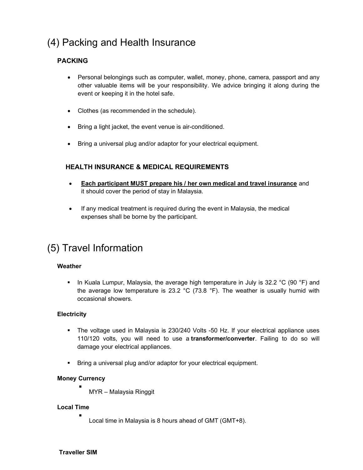## (4) Packing and Health Insurance

#### PACKING

- Personal belongings such as computer, wallet, money, phone, camera, passport and any other valuable items will be your responsibility. We advice bringing it along during the event or keeping it in the hotel safe.
- Clothes (as recommended in the schedule).
- Bring a light jacket, the event venue is air-conditioned.
- Bring a universal plug and/or adaptor for your electrical equipment.

#### HEALTH INSURANCE & MEDICAL REQUIREMENTS

- Each participant MUST prepare his / her own medical and travel insurance and it should cover the period of stay in Malaysia.
- If any medical treatment is required during the event in Malaysia, the medical expenses shall be borne by the participant.

### (5) Travel Information

#### Weather

In Kuala Lumpur, Malaysia, the average high temperature in July is 32.2 °C (90 °F) and the average low temperature is 23.2  $^{\circ}$ C (73.8  $^{\circ}$ F). The weather is usually humid with occasional showers.

#### **Electricity**

- The voltage used in Malaysia is 230/240 Volts -50 Hz. If your electrical appliance uses 110/120 volts, you will need to use a transformer/converter. Failing to do so will damage your electrical appliances.
- **Bring a universal plug and/or adaptor for your electrical equipment.**

#### Money Currency

MYR – Malaysia Ringgit

#### Local Time

. Local time in Malaysia is 8 hours ahead of GMT (GMT+8).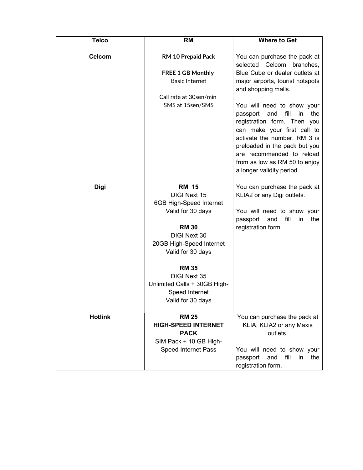| <b>Telco</b>   | <b>RM</b>                                           | <b>Where to Get</b>                                                 |
|----------------|-----------------------------------------------------|---------------------------------------------------------------------|
| <b>Celcom</b>  | RM 10 Prepaid Pack                                  | You can purchase the pack at                                        |
|                |                                                     | selected Celcom<br>branches,                                        |
|                | <b>FREE 1 GB Monthly</b>                            | Blue Cube or dealer outlets at                                      |
|                | <b>Basic Internet</b>                               | major airports, tourist hotspots                                    |
|                |                                                     | and shopping malls.                                                 |
|                | Call rate at 30sen/min                              |                                                                     |
|                | SMS at 15sen/SMS                                    | You will need to show your                                          |
|                |                                                     | fill<br>the<br>passport<br>and<br>in<br>registration form. Then you |
|                |                                                     | can make your first call to                                         |
|                |                                                     | activate the number. RM 3 is                                        |
|                |                                                     | preloaded in the pack but you                                       |
|                |                                                     | are recommended to reload                                           |
|                |                                                     | from as low as RM 50 to enjoy                                       |
|                |                                                     | a longer validity period.                                           |
| <b>Digi</b>    | <b>RM 15</b>                                        | You can purchase the pack at                                        |
|                | DIGI Next 15                                        | KLIA2 or any Digi outlets.                                          |
|                | 6GB High-Speed Internet                             |                                                                     |
|                | Valid for 30 days                                   | You will need to show your                                          |
|                | <b>RM 30</b>                                        | passport<br>and<br>fill<br>the<br><i>in</i><br>registration form.   |
|                | <b>DIGI Next 30</b>                                 |                                                                     |
|                | 20GB High-Speed Internet                            |                                                                     |
|                | Valid for 30 days                                   |                                                                     |
|                |                                                     |                                                                     |
|                | <b>RM 35</b>                                        |                                                                     |
|                | <b>DIGI Next 35</b><br>Unlimited Calls + 30GB High- |                                                                     |
|                | Speed Internet                                      |                                                                     |
|                | Valid for 30 days                                   |                                                                     |
|                |                                                     |                                                                     |
| <b>Hotlink</b> | <b>RM 25</b>                                        | You can purchase the pack at                                        |
|                | <b>HIGH-SPEED INTERNET</b><br><b>PACK</b>           | KLIA, KLIA2 or any Maxis<br>outlets.                                |
|                | SIM Pack + 10 GB High-                              |                                                                     |
|                | <b>Speed Internet Pass</b>                          | You will need to show your                                          |
|                |                                                     | and fill<br>passport<br>in the                                      |
|                |                                                     | registration form.                                                  |